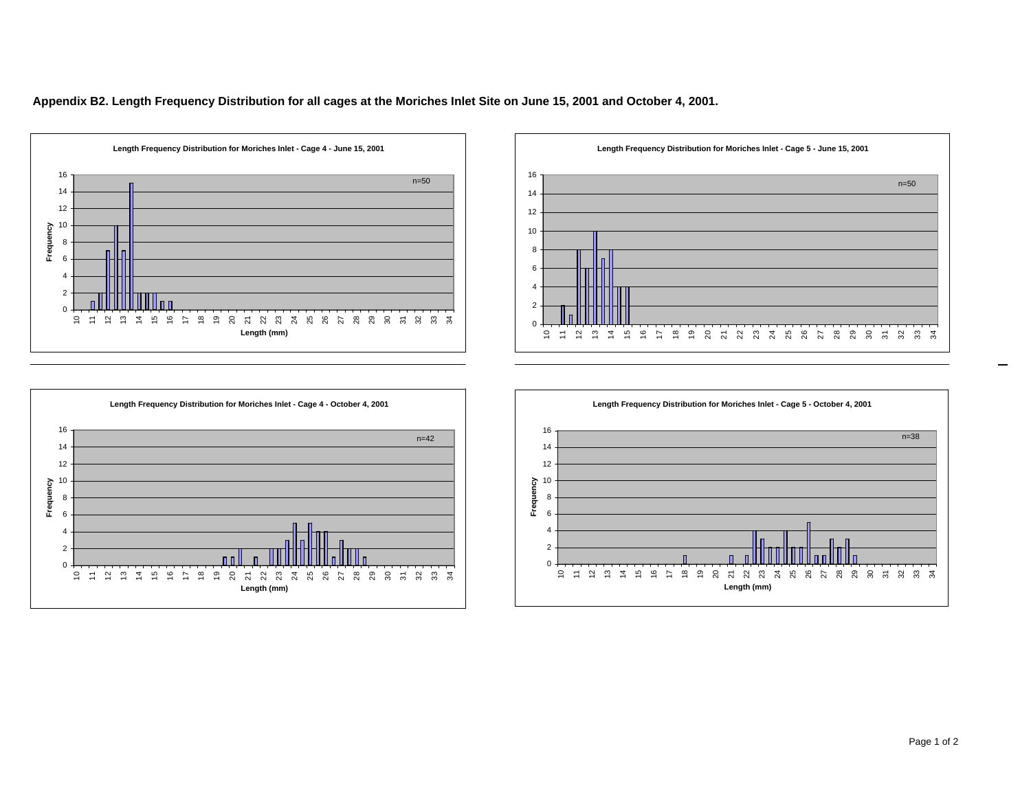**Appendix B2. Length Frequency Distribution for all cages at the Moriches Inlet Site on June 15, 2001 and October 4, 2001.**





**Length Frequency Distribution for Moriches Inlet - Cage 4 - October 4, 2001** n=42 Frequency **Frequency** 8 DШ 0 11 12 13 14 15 16 17 18 19 20 21 22 23 24 25 26 27 28 29 30 31 32 33 34 **Length (mm)**